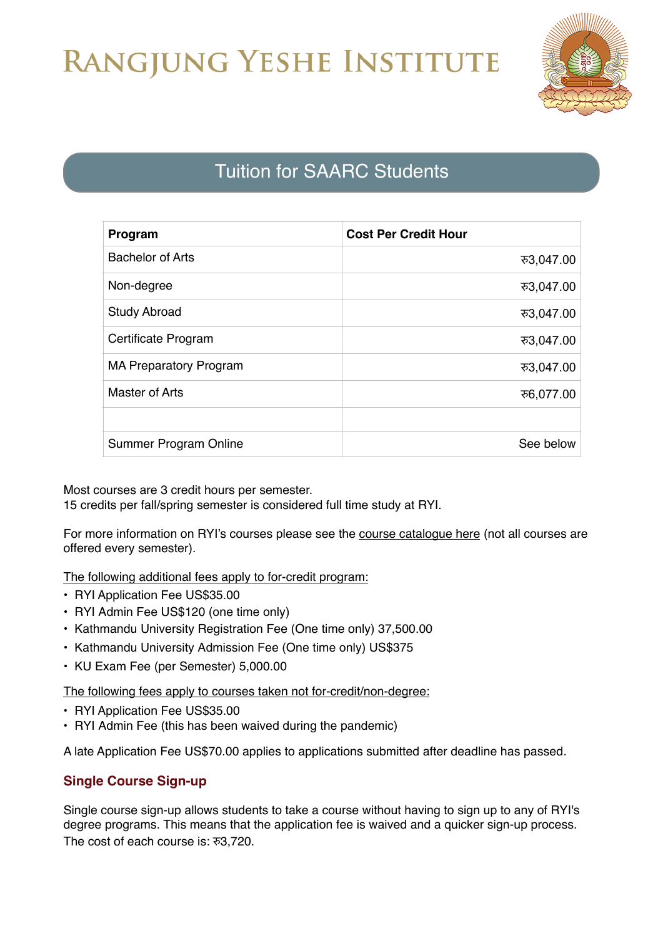## RANGJUNG YESHE INSTITUTE



## Tuition for SAARC Students

| Program                       | <b>Cost Per Credit Hour</b> |
|-------------------------------|-----------------------------|
| <b>Bachelor of Arts</b>       | रु3,047.00                  |
| Non-degree                    | ক3,047.00                   |
| <b>Study Abroad</b>           | रु3,047.00                  |
| Certificate Program           | ক3,047.00                   |
| <b>MA Preparatory Program</b> | ক3,047.00                   |
| <b>Master of Arts</b>         | ਨ6,077.00                   |
|                               |                             |
| Summer Program Online         | See below                   |

Most courses are 3 credit hours per semester. 15 credits per fall/spring semester is considered full time study at RYI.

For more information on RYI's courses please see the [course catalogue here](https://ryi.org/courses) (not all courses are offered every semester).

The following additional fees apply to for-credit program:

- RYI Application Fee US\$35.00
- RYI Admin Fee US\$120 (one time only)
- Kathmandu University Registration Fee (One time only) 37,500.00
- Kathmandu University Admission Fee (One time only) US\$375
- KU Exam Fee (per Semester) 5,000.00

The following fees apply to courses taken not for-credit/non-degree:

- RYI Application Fee US\$35.00
- RYI Admin Fee (this has been waived during the pandemic)

A late Application Fee US\$70.00 applies to applications submitted after deadline has passed.

## **Single Course Sign-up**

Single course sign-up allows students to take a course without having to sign up to any of RYI's degree programs. This means that the application fee is waived and a quicker sign-up process. The cost of each course is: र3,720.